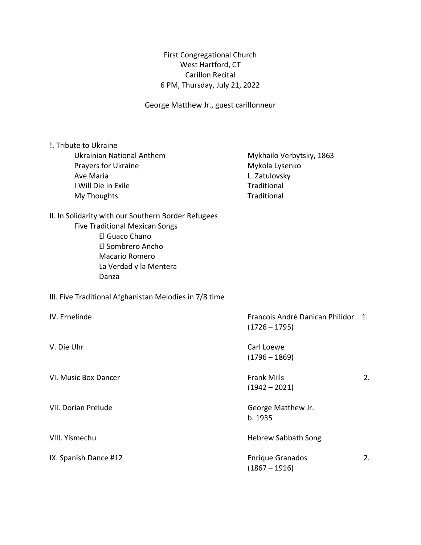First Congregational Church West Hartford, CT Carillon Recital 6 PM, Thursday, July 21, 2022

George Matthew Jr., guest carillonneur

| !. Tribute to Ukraine<br><b>Ukrainian National Anthem</b><br>Prayers for Ukraine<br>Ave Maria<br>I Will Die in Exile<br>My Thoughts                                                      | Mykhailo Verbytsky, 1863<br>Mykola Lysenko<br>L. Zatulovsky<br>Traditional<br>Traditional |    |
|------------------------------------------------------------------------------------------------------------------------------------------------------------------------------------------|-------------------------------------------------------------------------------------------|----|
| II. In Solidarity with our Southern Border Refugees<br><b>Five Traditional Mexican Songs</b><br>El Guaco Chano<br>El Sombrero Ancho<br>Macario Romero<br>La Verdad y la Mentera<br>Danza |                                                                                           |    |
| III. Five Traditional Afghanistan Melodies in 7/8 time                                                                                                                                   |                                                                                           |    |
| IV. Ernelinde                                                                                                                                                                            | Francois André Danican Philidor 1.<br>$(1726 - 1795)$                                     |    |
| V. Die Uhr                                                                                                                                                                               | Carl Loewe<br>$(1796 - 1869)$                                                             |    |
| VI. Music Box Dancer                                                                                                                                                                     | <b>Frank Mills</b><br>$(1942 - 2021)$                                                     | 2. |
| VII. Dorian Prelude                                                                                                                                                                      | George Matthew Jr.<br>b. 1935                                                             |    |
| VIII. Yismechu                                                                                                                                                                           | <b>Hebrew Sabbath Song</b>                                                                |    |
| IX. Spanish Dance #12                                                                                                                                                                    | <b>Enrique Granados</b><br>$(1867 - 1916)$                                                | 2. |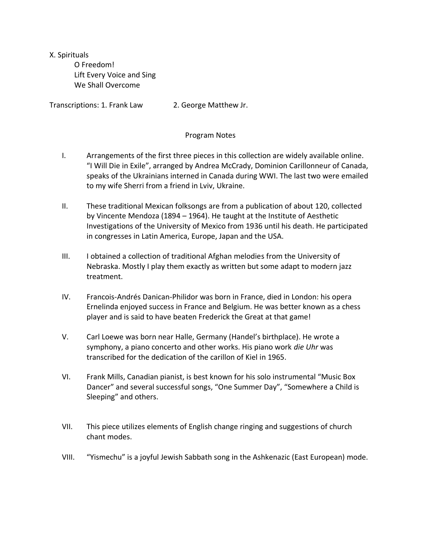X. Spirituals O Freedom! Lift Every Voice and Sing We Shall Overcome

Transcriptions: 1. Frank Law 2. George Matthew Jr.

## Program Notes

- I. Arrangements of the first three pieces in this collection are widely available online. "I Will Die in Exile", arranged by Andrea McCrady, Dominion Carillonneur of Canada, speaks of the Ukrainians interned in Canada during WWI. The last two were emailed to my wife Sherri from a friend in Lviv, Ukraine.
- II. These traditional Mexican folksongs are from a publication of about 120, collected by Vincente Mendoza (1894 – 1964). He taught at the Institute of Aesthetic Investigations of the University of Mexico from 1936 until his death. He participated in congresses in Latin America, Europe, Japan and the USA.
- III. I obtained a collection of traditional Afghan melodies from the University of Nebraska. Mostly I play them exactly as written but some adapt to modern jazz treatment.
- IV. Francois-Andrés Danican-Philidor was born in France, died in London: his opera Ernelinda enjoyed success in France and Belgium. He was better known as a chess player and is said to have beaten Frederick the Great at that game!
- V. Carl Loewe was born near Halle, Germany (Handel's birthplace). He wrote a symphony, a piano concerto and other works. His piano work *die Uhr* was transcribed for the dedication of the carillon of Kiel in 1965.
- VI. Frank Mills, Canadian pianist, is best known for his solo instrumental "Music Box Dancer" and several successful songs, "One Summer Day", "Somewhere a Child is Sleeping" and others.
- VII. This piece utilizes elements of English change ringing and suggestions of church chant modes.
- VIII. "Yismechu" is a joyful Jewish Sabbath song in the Ashkenazic (East European) mode.